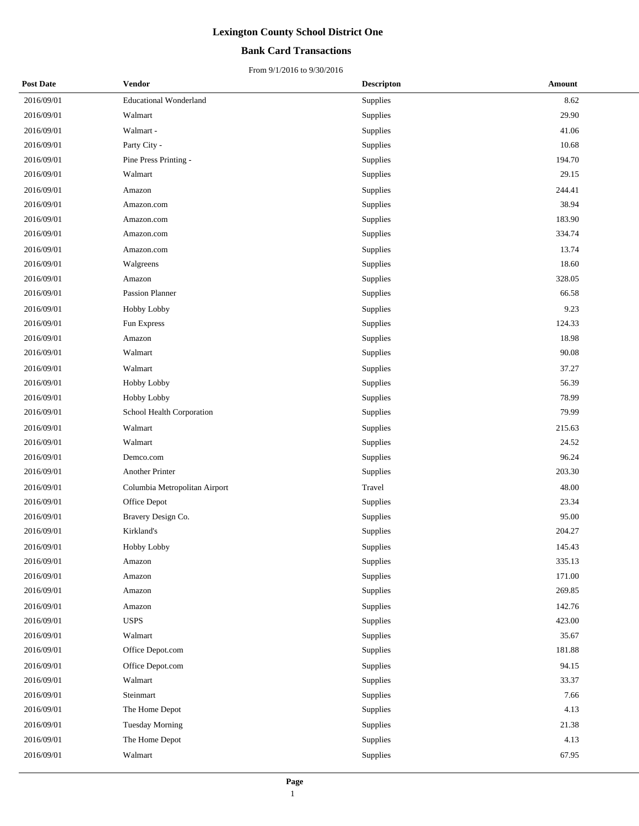## **Bank Card Transactions**

| <b>Post Date</b> | <b>Vendor</b>                 | <b>Descripton</b> | <b>Amount</b> |
|------------------|-------------------------------|-------------------|---------------|
| 2016/09/01       | <b>Educational Wonderland</b> | Supplies          | 8.62          |
| 2016/09/01       | Walmart                       | Supplies          | 29.90         |
| 2016/09/01       | Walmart -                     | Supplies          | 41.06         |
| 2016/09/01       | Party City -                  | Supplies          | 10.68         |
| 2016/09/01       | Pine Press Printing -         | Supplies          | 194.70        |
| 2016/09/01       | Walmart                       | Supplies          | 29.15         |
| 2016/09/01       | Amazon                        | Supplies          | 244.41        |
| 2016/09/01       | Amazon.com                    | Supplies          | 38.94         |
| 2016/09/01       | Amazon.com                    | Supplies          | 183.90        |
| 2016/09/01       | Amazon.com                    | Supplies          | 334.74        |
| 2016/09/01       | Amazon.com                    | Supplies          | 13.74         |
| 2016/09/01       | Walgreens                     | Supplies          | 18.60         |
| 2016/09/01       | Amazon                        | Supplies          | 328.05        |
| 2016/09/01       | Passion Planner               | Supplies          | 66.58         |
| 2016/09/01       | Hobby Lobby                   | Supplies          | 9.23          |
| 2016/09/01       | Fun Express                   | Supplies          | 124.33        |
| 2016/09/01       | Amazon                        | Supplies          | 18.98         |
| 2016/09/01       | Walmart                       | Supplies          | 90.08         |
| 2016/09/01       | Walmart                       | Supplies          | 37.27         |
| 2016/09/01       | Hobby Lobby                   | Supplies          | 56.39         |
| 2016/09/01       | Hobby Lobby                   | Supplies          | 78.99         |
| 2016/09/01       | School Health Corporation     | Supplies          | 79.99         |
| 2016/09/01       | Walmart                       | Supplies          | 215.63        |
| 2016/09/01       | Walmart                       | Supplies          | 24.52         |
| 2016/09/01       | Demco.com                     | Supplies          | 96.24         |
| 2016/09/01       | Another Printer               | Supplies          | 203.30        |
| 2016/09/01       | Columbia Metropolitan Airport | Travel            | 48.00         |
| 2016/09/01       | Office Depot                  | Supplies          | 23.34         |
| 2016/09/01       | Bravery Design Co.            | Supplies          | 95.00         |
| 2016/09/01       | Kirkland's                    | Supplies          | 204.27        |
| 2016/09/01       | Hobby Lobby                   | Supplies          | 145.43        |
| 2016/09/01       | Amazon                        | Supplies          | 335.13        |
| 2016/09/01       | Amazon                        | Supplies          | 171.00        |
| 2016/09/01       | Amazon                        | Supplies          | 269.85        |
| 2016/09/01       | Amazon                        | Supplies          | 142.76        |
| 2016/09/01       | <b>USPS</b>                   | Supplies          | 423.00        |
| 2016/09/01       | Walmart                       | Supplies          | 35.67         |
| 2016/09/01       | Office Depot.com              | Supplies          | 181.88        |
| 2016/09/01       | Office Depot.com              | Supplies          | 94.15         |
| 2016/09/01       | Walmart                       | Supplies          | 33.37         |
| 2016/09/01       | Steinmart                     | Supplies          | 7.66          |
| 2016/09/01       | The Home Depot                | Supplies          | 4.13          |
| 2016/09/01       | <b>Tuesday Morning</b>        | Supplies          | 21.38         |
| 2016/09/01       | The Home Depot                | Supplies          | 4.13          |
| 2016/09/01       | Walmart                       | Supplies          | 67.95         |
|                  |                               |                   |               |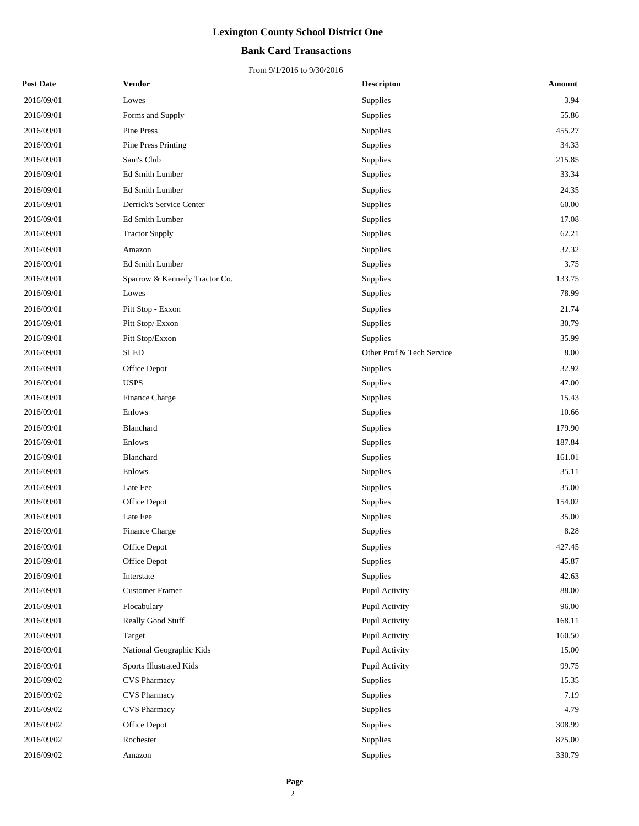### **Bank Card Transactions**

| <b>Post Date</b> | <b>Vendor</b>                 | <b>Descripton</b>         | Amount    |
|------------------|-------------------------------|---------------------------|-----------|
| 2016/09/01       | Lowes                         | Supplies                  | 3.94      |
| 2016/09/01       | Forms and Supply              | Supplies                  | 55.86     |
| 2016/09/01       | Pine Press                    | Supplies                  | 455.27    |
| 2016/09/01       | <b>Pine Press Printing</b>    | Supplies                  | 34.33     |
| 2016/09/01       | Sam's Club                    | Supplies                  | 215.85    |
| 2016/09/01       | Ed Smith Lumber               | Supplies                  | 33.34     |
| 2016/09/01       | Ed Smith Lumber               | Supplies                  | 24.35     |
| 2016/09/01       | Derrick's Service Center      | Supplies                  | 60.00     |
| 2016/09/01       | Ed Smith Lumber               | Supplies                  | 17.08     |
| 2016/09/01       | <b>Tractor Supply</b>         | Supplies                  | 62.21     |
| 2016/09/01       | Amazon                        | Supplies                  | 32.32     |
| 2016/09/01       | Ed Smith Lumber               | Supplies                  | 3.75      |
| 2016/09/01       | Sparrow & Kennedy Tractor Co. | Supplies                  | 133.75    |
| 2016/09/01       | Lowes                         | Supplies                  | 78.99     |
| 2016/09/01       | Pitt Stop - Exxon             | Supplies                  | 21.74     |
| 2016/09/01       | Pitt Stop/Exxon               | Supplies                  | 30.79     |
| 2016/09/01       | Pitt Stop/Exxon               | Supplies                  | 35.99     |
| 2016/09/01       | <b>SLED</b>                   | Other Prof & Tech Service | 8.00      |
| 2016/09/01       | Office Depot                  | Supplies                  | 32.92     |
| 2016/09/01       | <b>USPS</b>                   | Supplies                  | 47.00     |
| 2016/09/01       | Finance Charge                | Supplies                  | 15.43     |
| 2016/09/01       | Enlows                        | Supplies                  | 10.66     |
| 2016/09/01       | Blanchard                     | Supplies                  | 179.90    |
| 2016/09/01       | Enlows                        | Supplies                  | 187.84    |
| 2016/09/01       | Blanchard                     | Supplies                  | 161.01    |
| 2016/09/01       | Enlows                        | Supplies                  | 35.11     |
| 2016/09/01       | Late Fee                      | Supplies                  | 35.00     |
| 2016/09/01       | Office Depot                  | Supplies                  | 154.02    |
| 2016/09/01       | Late Fee                      | Supplies                  | 35.00     |
| 2016/09/01       | Finance Charge                | Supplies                  | 8.28      |
| 2016/09/01       | Office Depot                  | Supplies                  | 427.45    |
| 2016/09/01       | Office Depot                  | Supplies                  | 45.87     |
| 2016/09/01       | Interstate                    | Supplies                  | 42.63     |
| 2016/09/01       | <b>Customer Framer</b>        | Pupil Activity            | $88.00\,$ |
| 2016/09/01       | Flocabulary                   | Pupil Activity            | 96.00     |
| 2016/09/01       | Really Good Stuff             | Pupil Activity            | 168.11    |
| 2016/09/01       | Target                        | Pupil Activity            | 160.50    |
| 2016/09/01       | National Geographic Kids      | Pupil Activity            | 15.00     |
| 2016/09/01       | Sports Illustrated Kids       | Pupil Activity            | 99.75     |
| 2016/09/02       | <b>CVS Pharmacy</b>           | Supplies                  | 15.35     |
| 2016/09/02       | <b>CVS Pharmacy</b>           | Supplies                  | 7.19      |
| 2016/09/02       | <b>CVS</b> Pharmacy           | Supplies                  | 4.79      |
| 2016/09/02       | Office Depot                  | Supplies                  | 308.99    |
| 2016/09/02       | Rochester                     | Supplies                  | 875.00    |
| 2016/09/02       | Amazon                        | Supplies                  | 330.79    |
|                  |                               |                           |           |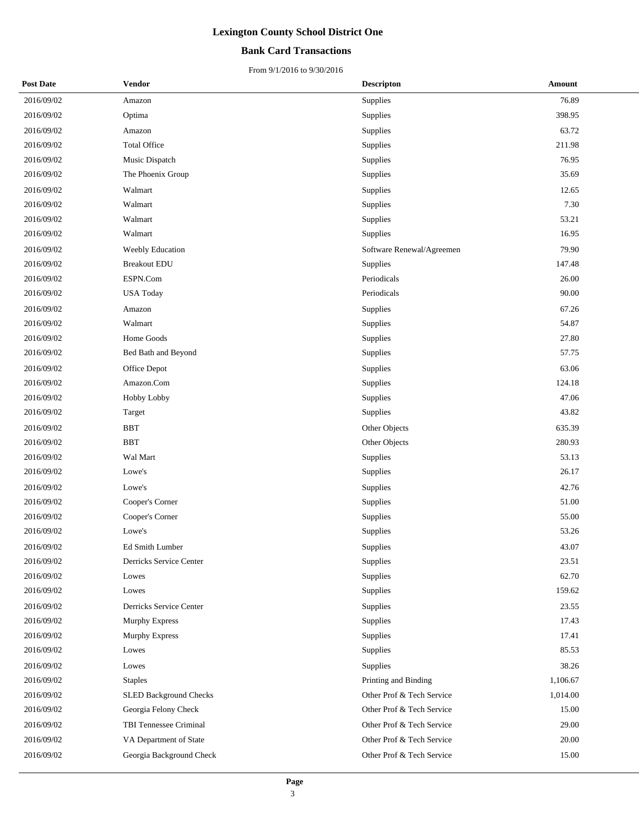### **Bank Card Transactions**

| <b>Post Date</b> | Vendor                        | <b>Descripton</b>         | Amount   |
|------------------|-------------------------------|---------------------------|----------|
| 2016/09/02       | Amazon                        | Supplies                  | 76.89    |
| 2016/09/02       | Optima                        | Supplies                  | 398.95   |
| 2016/09/02       | Amazon                        | Supplies                  | 63.72    |
| 2016/09/02       | <b>Total Office</b>           | Supplies                  | 211.98   |
| 2016/09/02       | Music Dispatch                | Supplies                  | 76.95    |
| 2016/09/02       | The Phoenix Group             | Supplies                  | 35.69    |
| 2016/09/02       | Walmart                       | Supplies                  | 12.65    |
| 2016/09/02       | Walmart                       | Supplies                  | 7.30     |
| 2016/09/02       | Walmart                       | Supplies                  | 53.21    |
| 2016/09/02       | Walmart                       | Supplies                  | 16.95    |
| 2016/09/02       | Weebly Education              | Software Renewal/Agreemen | 79.90    |
| 2016/09/02       | <b>Breakout EDU</b>           | Supplies                  | 147.48   |
| 2016/09/02       | ESPN.Com                      | Periodicals               | 26.00    |
| 2016/09/02       | <b>USA Today</b>              | Periodicals               | 90.00    |
| 2016/09/02       | Amazon                        | Supplies                  | 67.26    |
| 2016/09/02       | Walmart                       | Supplies                  | 54.87    |
| 2016/09/02       | Home Goods                    | Supplies                  | 27.80    |
| 2016/09/02       | Bed Bath and Beyond           | Supplies                  | 57.75    |
| 2016/09/02       | Office Depot                  | Supplies                  | 63.06    |
| 2016/09/02       | Amazon.Com                    | Supplies                  | 124.18   |
| 2016/09/02       | Hobby Lobby                   | Supplies                  | 47.06    |
| 2016/09/02       | Target                        | Supplies                  | 43.82    |
| 2016/09/02       | <b>BBT</b>                    | Other Objects             | 635.39   |
| 2016/09/02       | <b>BBT</b>                    | Other Objects             | 280.93   |
| 2016/09/02       | Wal Mart                      | Supplies                  | 53.13    |
| 2016/09/02       | Lowe's                        | Supplies                  | 26.17    |
| 2016/09/02       | Lowe's                        | Supplies                  | 42.76    |
| 2016/09/02       | Cooper's Corner               | Supplies                  | 51.00    |
| 2016/09/02       | Cooper's Corner               | Supplies                  | 55.00    |
| 2016/09/02       | Lowe's                        | Supplies                  | 53.26    |
| 2016/09/02       | <b>Ed Smith Lumber</b>        | Supplies                  | 43.07    |
| 2016/09/02       | Derricks Service Center       | Supplies                  | 23.51    |
| 2016/09/02       | Lowes                         | Supplies                  | 62.70    |
| 2016/09/02       | Lowes                         | Supplies                  | 159.62   |
| 2016/09/02       | Derricks Service Center       | Supplies                  | 23.55    |
| 2016/09/02       | Murphy Express                | Supplies                  | 17.43    |
| 2016/09/02       | <b>Murphy Express</b>         | Supplies                  | 17.41    |
| 2016/09/02       | Lowes                         | Supplies                  | 85.53    |
| 2016/09/02       | Lowes                         | Supplies                  | 38.26    |
| 2016/09/02       | <b>Staples</b>                | Printing and Binding      | 1,106.67 |
| 2016/09/02       | <b>SLED Background Checks</b> | Other Prof & Tech Service | 1,014.00 |
| 2016/09/02       | Georgia Felony Check          | Other Prof & Tech Service | 15.00    |
| 2016/09/02       | TBI Tennessee Criminal        | Other Prof & Tech Service | 29.00    |
| 2016/09/02       | VA Department of State        | Other Prof & Tech Service | 20.00    |
| 2016/09/02       | Georgia Background Check      | Other Prof & Tech Service | 15.00    |
|                  |                               |                           |          |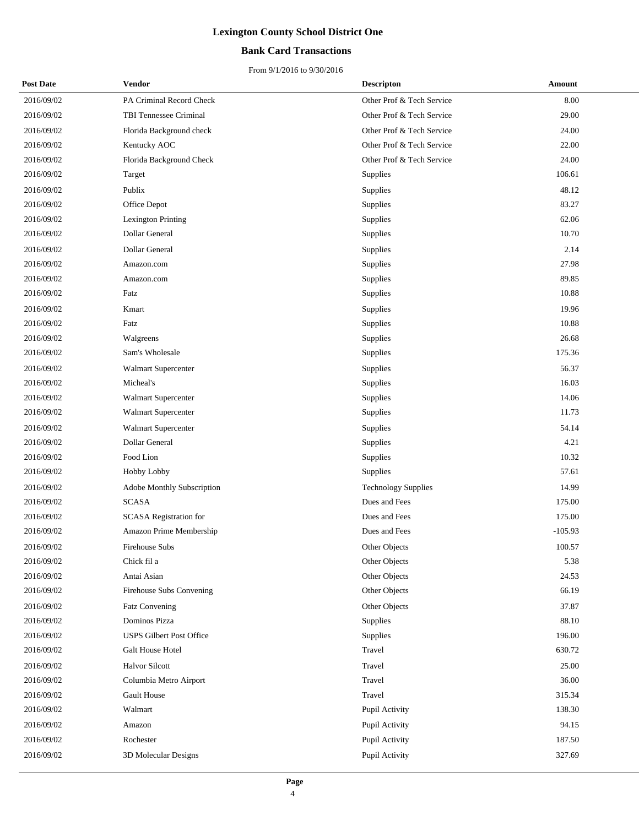## **Bank Card Transactions**

| <b>Post Date</b> | Vendor                            | <b>Descripton</b>          | <b>Amount</b> |
|------------------|-----------------------------------|----------------------------|---------------|
| 2016/09/02       | PA Criminal Record Check          | Other Prof & Tech Service  | 8.00          |
| 2016/09/02       | TBI Tennessee Criminal            | Other Prof & Tech Service  | 29.00         |
| 2016/09/02       | Florida Background check          | Other Prof & Tech Service  | 24.00         |
| 2016/09/02       | Kentucky AOC                      | Other Prof & Tech Service  | 22.00         |
| 2016/09/02       | Florida Background Check          | Other Prof & Tech Service  | 24.00         |
| 2016/09/02       | Target                            | Supplies                   | 106.61        |
| 2016/09/02       | Publix                            | Supplies                   | 48.12         |
| 2016/09/02       | Office Depot                      | Supplies                   | 83.27         |
| 2016/09/02       | Lexington Printing                | Supplies                   | 62.06         |
| 2016/09/02       | Dollar General                    | Supplies                   | 10.70         |
| 2016/09/02       | Dollar General                    | Supplies                   | 2.14          |
| 2016/09/02       | Amazon.com                        | Supplies                   | 27.98         |
| 2016/09/02       | Amazon.com                        | Supplies                   | 89.85         |
| 2016/09/02       | Fatz                              | Supplies                   | 10.88         |
| 2016/09/02       | Kmart                             | Supplies                   | 19.96         |
| 2016/09/02       | Fatz                              | Supplies                   | 10.88         |
| 2016/09/02       | Walgreens                         | Supplies                   | 26.68         |
| 2016/09/02       | Sam's Wholesale                   | Supplies                   | 175.36        |
| 2016/09/02       | Walmart Supercenter               | Supplies                   | 56.37         |
| 2016/09/02       | Micheal's                         | Supplies                   | 16.03         |
| 2016/09/02       | Walmart Supercenter               | Supplies                   | 14.06         |
| 2016/09/02       | Walmart Supercenter               | Supplies                   | 11.73         |
| 2016/09/02       | Walmart Supercenter               | Supplies                   | 54.14         |
| 2016/09/02       | Dollar General                    | Supplies                   | 4.21          |
| 2016/09/02       | Food Lion                         | Supplies                   | 10.32         |
| 2016/09/02       | Hobby Lobby                       | Supplies                   | 57.61         |
| 2016/09/02       | <b>Adobe Monthly Subscription</b> | <b>Technology Supplies</b> | 14.99         |
| 2016/09/02       | $\ensuremath{\mathrm{SCASA}}$     | Dues and Fees              | 175.00        |
| 2016/09/02       | SCASA Registration for            | Dues and Fees              | 175.00        |
| 2016/09/02       | Amazon Prime Membership           | Dues and Fees              | $-105.93$     |
| 2016/09/02       | Firehouse Subs                    | Other Objects              | 100.57        |
| 2016/09/02       | Chick fil a                       | Other Objects              | 5.38          |
| 2016/09/02       | Antai Asian                       | Other Objects              | 24.53         |
| 2016/09/02       | Firehouse Subs Convening          | Other Objects              | 66.19         |
| 2016/09/02       | Fatz Convening                    | Other Objects              | 37.87         |
| 2016/09/02       | Dominos Pizza                     | Supplies                   | 88.10         |
| 2016/09/02       | <b>USPS Gilbert Post Office</b>   | Supplies                   | 196.00        |
| 2016/09/02       | Galt House Hotel                  | Travel                     | 630.72        |
| 2016/09/02       | <b>Halvor Silcott</b>             | Travel                     | 25.00         |
| 2016/09/02       | Columbia Metro Airport            | Travel                     | 36.00         |
| 2016/09/02       | <b>Gault House</b>                | Travel                     | 315.34        |
| 2016/09/02       | Walmart                           | Pupil Activity             | 138.30        |
| 2016/09/02       | Amazon                            | Pupil Activity             | 94.15         |
| 2016/09/02       | Rochester                         | Pupil Activity             | 187.50        |
| 2016/09/02       | 3D Molecular Designs              | Pupil Activity             | 327.69        |
|                  |                                   |                            |               |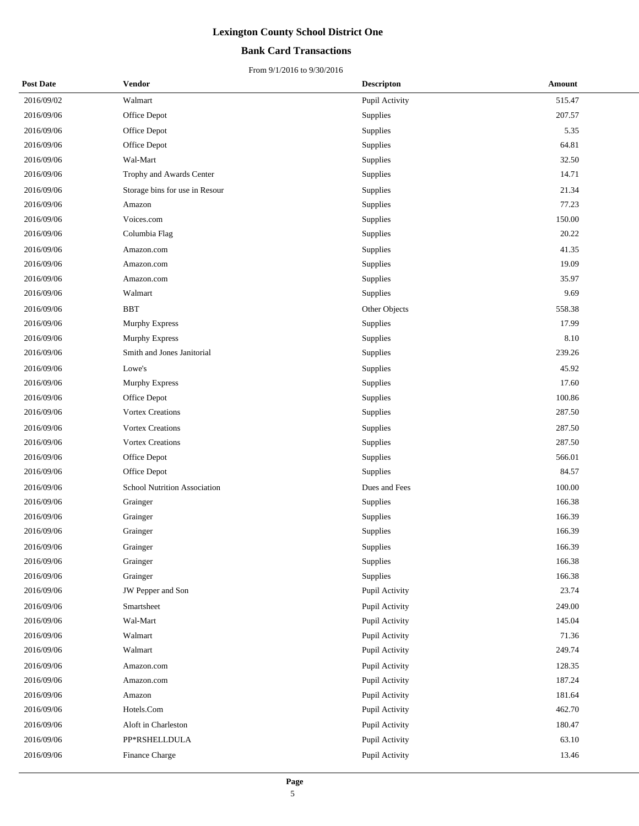## **Bank Card Transactions**

| <b>Post Date</b> | <b>Vendor</b>                       | <b>Descripton</b> | Amount |
|------------------|-------------------------------------|-------------------|--------|
| 2016/09/02       | Walmart                             | Pupil Activity    | 515.47 |
| 2016/09/06       | Office Depot                        | Supplies          | 207.57 |
| 2016/09/06       | Office Depot                        | Supplies          | 5.35   |
| 2016/09/06       | Office Depot                        | Supplies          | 64.81  |
| 2016/09/06       | Wal-Mart                            | Supplies          | 32.50  |
| 2016/09/06       | Trophy and Awards Center            | Supplies          | 14.71  |
| 2016/09/06       | Storage bins for use in Resour      | Supplies          | 21.34  |
| 2016/09/06       | Amazon                              | Supplies          | 77.23  |
| 2016/09/06       | Voices.com                          | Supplies          | 150.00 |
| 2016/09/06       | Columbia Flag                       | Supplies          | 20.22  |
| 2016/09/06       | Amazon.com                          | Supplies          | 41.35  |
| 2016/09/06       | Amazon.com                          | Supplies          | 19.09  |
| 2016/09/06       | Amazon.com                          | Supplies          | 35.97  |
| 2016/09/06       | Walmart                             | Supplies          | 9.69   |
| 2016/09/06       | <b>BBT</b>                          | Other Objects     | 558.38 |
| 2016/09/06       | Murphy Express                      | Supplies          | 17.99  |
| 2016/09/06       | Murphy Express                      | Supplies          | 8.10   |
| 2016/09/06       | Smith and Jones Janitorial          | Supplies          | 239.26 |
| 2016/09/06       | Lowe's                              | Supplies          | 45.92  |
| 2016/09/06       | Murphy Express                      | Supplies          | 17.60  |
| 2016/09/06       | Office Depot                        | Supplies          | 100.86 |
| 2016/09/06       | <b>Vortex Creations</b>             | Supplies          | 287.50 |
| 2016/09/06       | <b>Vortex Creations</b>             | Supplies          | 287.50 |
| 2016/09/06       | <b>Vortex Creations</b>             | Supplies          | 287.50 |
| 2016/09/06       | Office Depot                        | Supplies          | 566.01 |
| 2016/09/06       | Office Depot                        | Supplies          | 84.57  |
| 2016/09/06       | <b>School Nutrition Association</b> | Dues and Fees     | 100.00 |
| 2016/09/06       | Grainger                            | Supplies          | 166.38 |
| 2016/09/06       | Grainger                            | Supplies          | 166.39 |
| 2016/09/06       | Grainger                            | Supplies          | 166.39 |
| 2016/09/06       | Grainger                            | Supplies          | 166.39 |
| 2016/09/06       | Grainger                            | Supplies          | 166.38 |
| 2016/09/06       | Grainger                            | Supplies          | 166.38 |
| 2016/09/06       | JW Pepper and Son                   | Pupil Activity    | 23.74  |
| 2016/09/06       | Smartsheet                          | Pupil Activity    | 249.00 |
| 2016/09/06       | Wal-Mart                            | Pupil Activity    | 145.04 |
| 2016/09/06       | Walmart                             | Pupil Activity    | 71.36  |
| 2016/09/06       | Walmart                             | Pupil Activity    | 249.74 |
| 2016/09/06       | Amazon.com                          | Pupil Activity    | 128.35 |
| 2016/09/06       | Amazon.com                          | Pupil Activity    | 187.24 |
| 2016/09/06       | Amazon                              | Pupil Activity    | 181.64 |
| 2016/09/06       | Hotels.Com                          | Pupil Activity    | 462.70 |
| 2016/09/06       | Aloft in Charleston                 | Pupil Activity    | 180.47 |
| 2016/09/06       | PP*RSHELLDULA                       | Pupil Activity    | 63.10  |
| 2016/09/06       | Finance Charge                      | Pupil Activity    | 13.46  |
|                  |                                     |                   |        |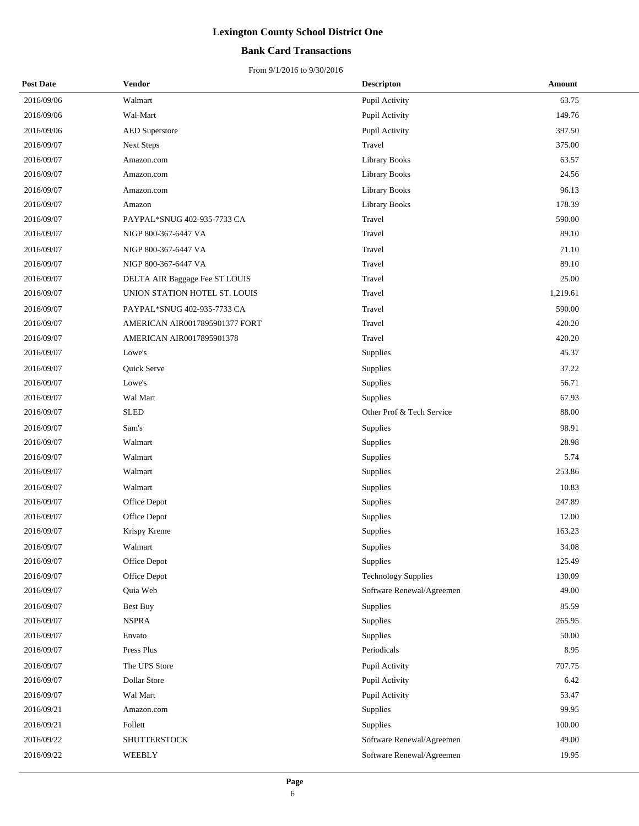## **Bank Card Transactions**

| <b>Post Date</b> | Vendor                         | <b>Descripton</b>          | Amount   |
|------------------|--------------------------------|----------------------------|----------|
| 2016/09/06       | Walmart                        | Pupil Activity             | 63.75    |
| 2016/09/06       | Wal-Mart                       | Pupil Activity             | 149.76   |
| 2016/09/06       | <b>AED</b> Superstore          | Pupil Activity             | 397.50   |
| 2016/09/07       | <b>Next Steps</b>              | Travel                     | 375.00   |
| 2016/09/07       | Amazon.com                     | <b>Library Books</b>       | 63.57    |
| 2016/09/07       | Amazon.com                     | <b>Library Books</b>       | 24.56    |
| 2016/09/07       | Amazon.com                     | <b>Library Books</b>       | 96.13    |
| 2016/09/07       | Amazon                         | Library Books              | 178.39   |
| 2016/09/07       | PAYPAL*SNUG 402-935-7733 CA    | Travel                     | 590.00   |
| 2016/09/07       | NIGP 800-367-6447 VA           | Travel                     | 89.10    |
| 2016/09/07       | NIGP 800-367-6447 VA           | Travel                     | 71.10    |
| 2016/09/07       | NIGP 800-367-6447 VA           | Travel                     | 89.10    |
| 2016/09/07       | DELTA AIR Baggage Fee ST LOUIS | Travel                     | 25.00    |
| 2016/09/07       | UNION STATION HOTEL ST. LOUIS  | Travel                     | 1,219.61 |
| 2016/09/07       | PAYPAL*SNUG 402-935-7733 CA    | Travel                     | 590.00   |
| 2016/09/07       | AMERICAN AIR0017895901377 FORT | Travel                     | 420.20   |
| 2016/09/07       | AMERICAN AIR0017895901378      | Travel                     | 420.20   |
| 2016/09/07       | Lowe's                         | Supplies                   | 45.37    |
| 2016/09/07       | Quick Serve                    | Supplies                   | 37.22    |
| 2016/09/07       | Lowe's                         | Supplies                   | 56.71    |
| 2016/09/07       | Wal Mart                       | Supplies                   | 67.93    |
| 2016/09/07       | <b>SLED</b>                    | Other Prof & Tech Service  | 88.00    |
| 2016/09/07       | Sam's                          | Supplies                   | 98.91    |
| 2016/09/07       | Walmart                        | Supplies                   | 28.98    |
| 2016/09/07       | Walmart                        | Supplies                   | 5.74     |
| 2016/09/07       | Walmart                        | Supplies                   | 253.86   |
| 2016/09/07       | Walmart                        | Supplies                   | 10.83    |
| 2016/09/07       | Office Depot                   | Supplies                   | 247.89   |
| 2016/09/07       | Office Depot                   | Supplies                   | 12.00    |
| 2016/09/07       | Krispy Kreme                   | Supplies                   | 163.23   |
| 2016/09/07       | Walmart                        | Supplies                   | 34.08    |
| 2016/09/07       | Office Depot                   | Supplies                   | 125.49   |
| 2016/09/07       | Office Depot                   | <b>Technology Supplies</b> | 130.09   |
| 2016/09/07       | Quia Web                       | Software Renewal/Agreemen  | 49.00    |
| 2016/09/07       | <b>Best Buy</b>                | Supplies                   | 85.59    |
| 2016/09/07       | <b>NSPRA</b>                   | Supplies                   | 265.95   |
| 2016/09/07       | Envato                         | Supplies                   | 50.00    |
| 2016/09/07       | Press Plus                     | Periodicals                | 8.95     |
| 2016/09/07       | The UPS Store                  | Pupil Activity             | 707.75   |
| 2016/09/07       | Dollar Store                   | Pupil Activity             | 6.42     |
| 2016/09/07       | Wal Mart                       | Pupil Activity             | 53.47    |
| 2016/09/21       | Amazon.com                     | Supplies                   | 99.95    |
| 2016/09/21       | Follett                        | Supplies                   | 100.00   |
| 2016/09/22       | <b>SHUTTERSTOCK</b>            | Software Renewal/Agreemen  | 49.00    |
| 2016/09/22       | WEEBLY                         | Software Renewal/Agreemen  | 19.95    |
|                  |                                |                            |          |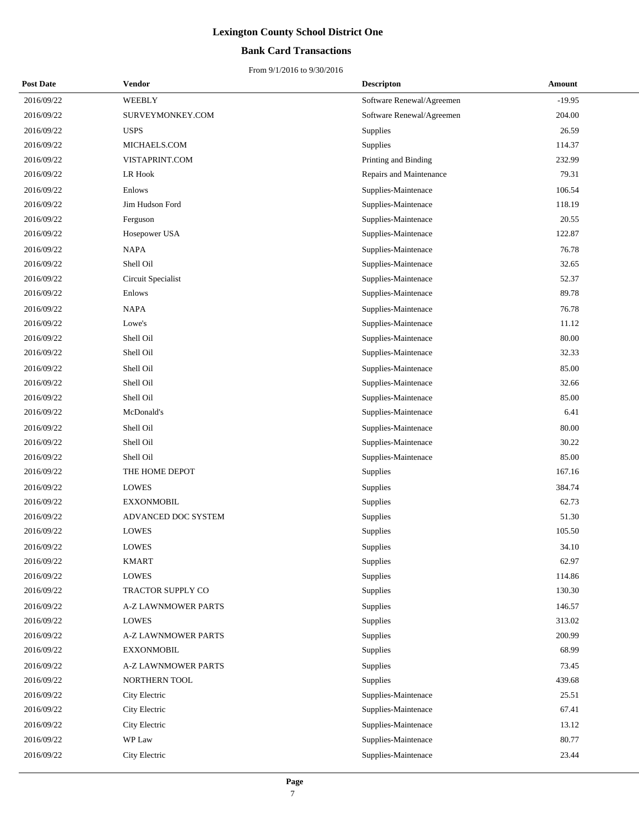## **Bank Card Transactions**

| <b>Post Date</b> | Vendor                     | <b>Descripton</b>         | Amount   |
|------------------|----------------------------|---------------------------|----------|
| 2016/09/22       | WEEBLY                     | Software Renewal/Agreemen | $-19.95$ |
| 2016/09/22       | SURVEYMONKEY.COM           | Software Renewal/Agreemen | 204.00   |
| 2016/09/22       | <b>USPS</b>                | Supplies                  | 26.59    |
| 2016/09/22       | MICHAELS.COM               | Supplies                  | 114.37   |
| 2016/09/22       | VISTAPRINT.COM             | Printing and Binding      | 232.99   |
| 2016/09/22       | LR Hook                    | Repairs and Maintenance   | 79.31    |
| 2016/09/22       | Enlows                     | Supplies-Maintenace       | 106.54   |
| 2016/09/22       | Jim Hudson Ford            | Supplies-Maintenace       | 118.19   |
| 2016/09/22       | Ferguson                   | Supplies-Maintenace       | 20.55    |
| 2016/09/22       | Hosepower USA              | Supplies-Maintenace       | 122.87   |
| 2016/09/22       | <b>NAPA</b>                | Supplies-Maintenace       | 76.78    |
| 2016/09/22       | Shell Oil                  | Supplies-Maintenace       | 32.65    |
| 2016/09/22       | Circuit Specialist         | Supplies-Maintenace       | 52.37    |
| 2016/09/22       | Enlows                     | Supplies-Maintenace       | 89.78    |
| 2016/09/22       | <b>NAPA</b>                | Supplies-Maintenace       | 76.78    |
| 2016/09/22       | Lowe's                     | Supplies-Maintenace       | 11.12    |
| 2016/09/22       | Shell Oil                  | Supplies-Maintenace       | 80.00    |
| 2016/09/22       | Shell Oil                  | Supplies-Maintenace       | 32.33    |
| 2016/09/22       | Shell Oil                  | Supplies-Maintenace       | 85.00    |
| 2016/09/22       | Shell Oil                  | Supplies-Maintenace       | 32.66    |
| 2016/09/22       | Shell Oil                  | Supplies-Maintenace       | 85.00    |
| 2016/09/22       | McDonald's                 | Supplies-Maintenace       | 6.41     |
| 2016/09/22       | Shell Oil                  | Supplies-Maintenace       | 80.00    |
| 2016/09/22       | Shell Oil                  | Supplies-Maintenace       | 30.22    |
| 2016/09/22       | Shell Oil                  | Supplies-Maintenace       | 85.00    |
| 2016/09/22       | THE HOME DEPOT             | Supplies                  | 167.16   |
| 2016/09/22       | <b>LOWES</b>               | Supplies                  | 384.74   |
| 2016/09/22       | <b>EXXONMOBIL</b>          | Supplies                  | 62.73    |
| 2016/09/22       | ADVANCED DOC SYSTEM        | Supplies                  | 51.30    |
| 2016/09/22       | <b>LOWES</b>               | Supplies                  | 105.50   |
| 2016/09/22       | <b>LOWES</b>               | Supplies                  | 34.10    |
| 2016/09/22       | <b>KMART</b>               | Supplies                  | 62.97    |
| 2016/09/22       | LOWES                      | Supplies                  | 114.86   |
| 2016/09/22       | TRACTOR SUPPLY CO          | Supplies                  | 130.30   |
| 2016/09/22       | <b>A-Z LAWNMOWER PARTS</b> | Supplies                  | 146.57   |
| 2016/09/22       | <b>LOWES</b>               | Supplies                  | 313.02   |
| 2016/09/22       | <b>A-Z LAWNMOWER PARTS</b> | Supplies                  | 200.99   |
| 2016/09/22       | <b>EXXONMOBIL</b>          | Supplies                  | 68.99    |
| 2016/09/22       | <b>A-Z LAWNMOWER PARTS</b> | Supplies                  | 73.45    |
| 2016/09/22       | NORTHERN TOOL              | Supplies                  | 439.68   |
| 2016/09/22       | City Electric              | Supplies-Maintenace       | 25.51    |
| 2016/09/22       | City Electric              | Supplies-Maintenace       | 67.41    |
| 2016/09/22       | City Electric              | Supplies-Maintenace       | 13.12    |
| 2016/09/22       | WP Law                     | Supplies-Maintenace       | 80.77    |
| 2016/09/22       | City Electric              | Supplies-Maintenace       | 23.44    |
|                  |                            |                           |          |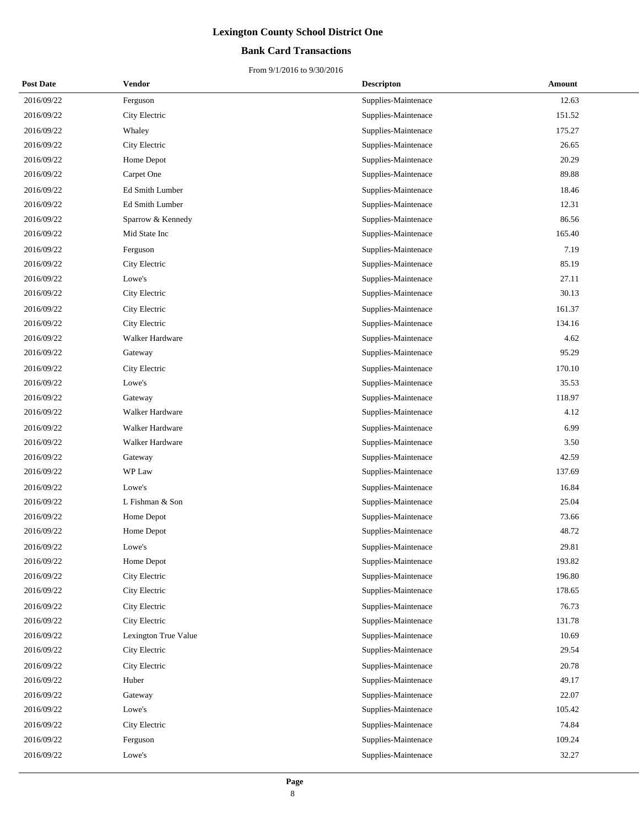## **Bank Card Transactions**

| <b>Post Date</b> | Vendor               | <b>Descripton</b>   | Amount |
|------------------|----------------------|---------------------|--------|
| 2016/09/22       | Ferguson             | Supplies-Maintenace | 12.63  |
| 2016/09/22       | City Electric        | Supplies-Maintenace | 151.52 |
| 2016/09/22       | Whaley               | Supplies-Maintenace | 175.27 |
| 2016/09/22       | City Electric        | Supplies-Maintenace | 26.65  |
| 2016/09/22       | Home Depot           | Supplies-Maintenace | 20.29  |
| 2016/09/22       | Carpet One           | Supplies-Maintenace | 89.88  |
| 2016/09/22       | Ed Smith Lumber      | Supplies-Maintenace | 18.46  |
| 2016/09/22       | Ed Smith Lumber      | Supplies-Maintenace | 12.31  |
| 2016/09/22       | Sparrow & Kennedy    | Supplies-Maintenace | 86.56  |
| 2016/09/22       | Mid State Inc        | Supplies-Maintenace | 165.40 |
| 2016/09/22       | Ferguson             | Supplies-Maintenace | 7.19   |
| 2016/09/22       | City Electric        | Supplies-Maintenace | 85.19  |
| 2016/09/22       | Lowe's               | Supplies-Maintenace | 27.11  |
| 2016/09/22       | City Electric        | Supplies-Maintenace | 30.13  |
| 2016/09/22       | City Electric        | Supplies-Maintenace | 161.37 |
| 2016/09/22       | City Electric        | Supplies-Maintenace | 134.16 |
| 2016/09/22       | Walker Hardware      | Supplies-Maintenace | 4.62   |
| 2016/09/22       | Gateway              | Supplies-Maintenace | 95.29  |
| 2016/09/22       | City Electric        | Supplies-Maintenace | 170.10 |
| 2016/09/22       | Lowe's               | Supplies-Maintenace | 35.53  |
| 2016/09/22       | Gateway              | Supplies-Maintenace | 118.97 |
| 2016/09/22       | Walker Hardware      | Supplies-Maintenace | 4.12   |
| 2016/09/22       | Walker Hardware      | Supplies-Maintenace | 6.99   |
| 2016/09/22       | Walker Hardware      | Supplies-Maintenace | 3.50   |
| 2016/09/22       | Gateway              | Supplies-Maintenace | 42.59  |
| 2016/09/22       | WP Law               | Supplies-Maintenace | 137.69 |
| 2016/09/22       | Lowe's               | Supplies-Maintenace | 16.84  |
| 2016/09/22       | L Fishman & Son      | Supplies-Maintenace | 25.04  |
| 2016/09/22       | Home Depot           | Supplies-Maintenace | 73.66  |
| 2016/09/22       | Home Depot           | Supplies-Maintenace | 48.72  |
| 2016/09/22       | Lowe's               | Supplies-Maintenace | 29.81  |
| 2016/09/22       | Home Depot           | Supplies-Maintenace | 193.82 |
| 2016/09/22       | City Electric        | Supplies-Maintenace | 196.80 |
| 2016/09/22       | City Electric        | Supplies-Maintenace | 178.65 |
| 2016/09/22       | City Electric        | Supplies-Maintenace | 76.73  |
| 2016/09/22       | City Electric        | Supplies-Maintenace | 131.78 |
| 2016/09/22       | Lexington True Value | Supplies-Maintenace | 10.69  |
| 2016/09/22       | City Electric        | Supplies-Maintenace | 29.54  |
| 2016/09/22       | City Electric        | Supplies-Maintenace | 20.78  |
| 2016/09/22       | Huber                | Supplies-Maintenace | 49.17  |
| 2016/09/22       | Gateway              | Supplies-Maintenace | 22.07  |
| 2016/09/22       | Lowe's               | Supplies-Maintenace | 105.42 |
| 2016/09/22       | City Electric        | Supplies-Maintenace | 74.84  |
| 2016/09/22       | Ferguson             | Supplies-Maintenace | 109.24 |
| 2016/09/22       | Lowe's               | Supplies-Maintenace | 32.27  |
|                  |                      |                     |        |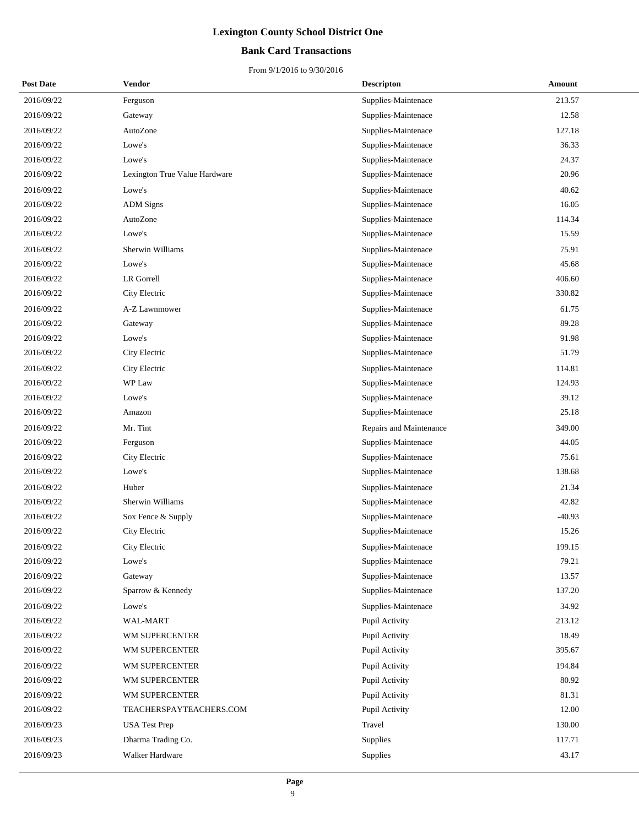## **Bank Card Transactions**

| <b>Post Date</b> | Vendor                        | <b>Descripton</b>       | Amount   |
|------------------|-------------------------------|-------------------------|----------|
| 2016/09/22       | Ferguson                      | Supplies-Maintenace     | 213.57   |
| 2016/09/22       | Gateway                       | Supplies-Maintenace     | 12.58    |
| 2016/09/22       | AutoZone                      | Supplies-Maintenace     | 127.18   |
| 2016/09/22       | Lowe's                        | Supplies-Maintenace     | 36.33    |
| 2016/09/22       | Lowe's                        | Supplies-Maintenace     | 24.37    |
| 2016/09/22       | Lexington True Value Hardware | Supplies-Maintenace     | 20.96    |
| 2016/09/22       | Lowe's                        | Supplies-Maintenace     | 40.62    |
| 2016/09/22       | <b>ADM</b> Signs              | Supplies-Maintenace     | 16.05    |
| 2016/09/22       | AutoZone                      | Supplies-Maintenace     | 114.34   |
| 2016/09/22       | Lowe's                        | Supplies-Maintenace     | 15.59    |
| 2016/09/22       | Sherwin Williams              | Supplies-Maintenace     | 75.91    |
| 2016/09/22       | Lowe's                        | Supplies-Maintenace     | 45.68    |
| 2016/09/22       | <b>LR</b> Gorrell             | Supplies-Maintenace     | 406.60   |
| 2016/09/22       | City Electric                 | Supplies-Maintenace     | 330.82   |
| 2016/09/22       | A-Z Lawnmower                 | Supplies-Maintenace     | 61.75    |
| 2016/09/22       | Gateway                       | Supplies-Maintenace     | 89.28    |
| 2016/09/22       | Lowe's                        | Supplies-Maintenace     | 91.98    |
| 2016/09/22       | City Electric                 | Supplies-Maintenace     | 51.79    |
| 2016/09/22       | City Electric                 | Supplies-Maintenace     | 114.81   |
| 2016/09/22       | WP Law                        | Supplies-Maintenace     | 124.93   |
| 2016/09/22       | Lowe's                        | Supplies-Maintenace     | 39.12    |
| 2016/09/22       | Amazon                        | Supplies-Maintenace     | 25.18    |
| 2016/09/22       | Mr. Tint                      | Repairs and Maintenance | 349.00   |
| 2016/09/22       | Ferguson                      | Supplies-Maintenace     | 44.05    |
| 2016/09/22       | City Electric                 | Supplies-Maintenace     | 75.61    |
| 2016/09/22       | Lowe's                        | Supplies-Maintenace     | 138.68   |
| 2016/09/22       | Huber                         | Supplies-Maintenace     | 21.34    |
| 2016/09/22       | Sherwin Williams              | Supplies-Maintenace     | 42.82    |
| 2016/09/22       | Sox Fence & Supply            | Supplies-Maintenace     | $-40.93$ |
| 2016/09/22       | City Electric                 | Supplies-Maintenace     | 15.26    |
| 2016/09/22       | City Electric                 | Supplies-Maintenace     | 199.15   |
| 2016/09/22       | Lowe's                        | Supplies-Maintenace     | 79.21    |
| 2016/09/22       | Gateway                       | Supplies-Maintenace     | 13.57    |
| 2016/09/22       | Sparrow & Kennedy             | Supplies-Maintenace     | 137.20   |
| 2016/09/22       | Lowe's                        | Supplies-Maintenace     | 34.92    |
| 2016/09/22       | WAL-MART                      | Pupil Activity          | 213.12   |
| 2016/09/22       | WM SUPERCENTER                | Pupil Activity          | 18.49    |
| 2016/09/22       | WM SUPERCENTER                | Pupil Activity          | 395.67   |
| 2016/09/22       | WM SUPERCENTER                | Pupil Activity          | 194.84   |
| 2016/09/22       | WM SUPERCENTER                | Pupil Activity          | 80.92    |
| 2016/09/22       | WM SUPERCENTER                | Pupil Activity          | 81.31    |
| 2016/09/22       | TEACHERSPAYTEACHERS.COM       | Pupil Activity          | 12.00    |
| 2016/09/23       | <b>USA Test Prep</b>          | Travel                  | 130.00   |
| 2016/09/23       | Dharma Trading Co.            | <b>Supplies</b>         | 117.71   |
| 2016/09/23       | Walker Hardware               | Supplies                | 43.17    |
|                  |                               |                         |          |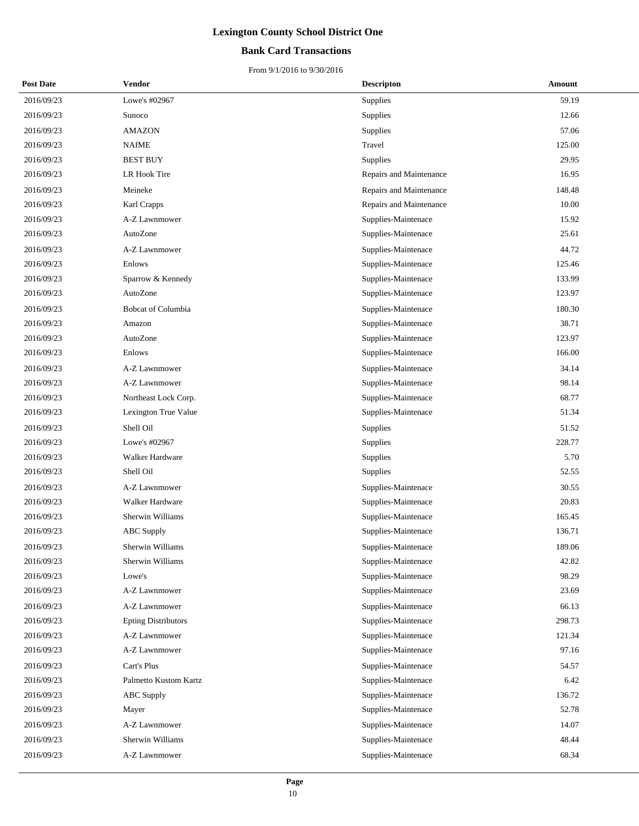## **Bank Card Transactions**

| <b>Post Date</b> | Vendor                     | <b>Descripton</b>       | Amount |
|------------------|----------------------------|-------------------------|--------|
| 2016/09/23       | Lowe's #02967              | Supplies                | 59.19  |
| 2016/09/23       | Sunoco                     | Supplies                | 12.66  |
| 2016/09/23       | <b>AMAZON</b>              | Supplies                | 57.06  |
| 2016/09/23       | <b>NAfME</b>               | Travel                  | 125.00 |
| 2016/09/23       | <b>BEST BUY</b>            | Supplies                | 29.95  |
| 2016/09/23       | LR Hook Tire               | Repairs and Maintenance | 16.95  |
| 2016/09/23       | Meineke                    | Repairs and Maintenance | 148.48 |
| 2016/09/23       | Karl Crapps                | Repairs and Maintenance | 10.00  |
| 2016/09/23       | A-Z Lawnmower              | Supplies-Maintenace     | 15.92  |
| 2016/09/23       | AutoZone                   | Supplies-Maintenace     | 25.61  |
| 2016/09/23       | A-Z Lawnmower              | Supplies-Maintenace     | 44.72  |
| 2016/09/23       | Enlows                     | Supplies-Maintenace     | 125.46 |
| 2016/09/23       | Sparrow & Kennedy          | Supplies-Maintenace     | 133.99 |
| 2016/09/23       | AutoZone                   | Supplies-Maintenace     | 123.97 |
| 2016/09/23       | Bobcat of Columbia         | Supplies-Maintenace     | 180.30 |
| 2016/09/23       | Amazon                     | Supplies-Maintenace     | 38.71  |
| 2016/09/23       | AutoZone                   | Supplies-Maintenace     | 123.97 |
| 2016/09/23       | Enlows                     | Supplies-Maintenace     | 166.00 |
| 2016/09/23       | A-Z Lawnmower              | Supplies-Maintenace     | 34.14  |
| 2016/09/23       | A-Z Lawnmower              | Supplies-Maintenace     | 98.14  |
| 2016/09/23       | Northeast Lock Corp.       | Supplies-Maintenace     | 68.77  |
| 2016/09/23       | Lexington True Value       | Supplies-Maintenace     | 51.34  |
| 2016/09/23       | Shell Oil                  | Supplies                | 51.52  |
| 2016/09/23       | Lowe's #02967              | Supplies                | 228.77 |
| 2016/09/23       | Walker Hardware            | Supplies                | 5.70   |
| 2016/09/23       | Shell Oil                  | Supplies                | 52.55  |
| 2016/09/23       | A-Z Lawnmower              | Supplies-Maintenace     | 30.55  |
| 2016/09/23       | Walker Hardware            | Supplies-Maintenace     | 20.83  |
| 2016/09/23       | Sherwin Williams           | Supplies-Maintenace     | 165.45 |
| 2016/09/23       | <b>ABC</b> Supply          | Supplies-Maintenace     | 136.71 |
| 2016/09/23       | Sherwin Williams           | Supplies-Maintenace     | 189.06 |
| 2016/09/23       | Sherwin Williams           | Supplies-Maintenace     | 42.82  |
| 2016/09/23       | Lowe's                     | Supplies-Maintenace     | 98.29  |
| 2016/09/23       | A-Z Lawnmower              | Supplies-Maintenace     | 23.69  |
| 2016/09/23       | A-Z Lawnmower              | Supplies-Maintenace     | 66.13  |
| 2016/09/23       | <b>Epting Distributors</b> | Supplies-Maintenace     | 298.73 |
| 2016/09/23       | A-Z Lawnmower              | Supplies-Maintenace     | 121.34 |
| 2016/09/23       | A-Z Lawnmower              | Supplies-Maintenace     | 97.16  |
| 2016/09/23       | Cart's Plus                | Supplies-Maintenace     | 54.57  |
| 2016/09/23       | Palmetto Kustom Kartz      | Supplies-Maintenace     | 6.42   |
| 2016/09/23       | <b>ABC</b> Supply          | Supplies-Maintenace     | 136.72 |
| 2016/09/23       | Mayer                      | Supplies-Maintenace     | 52.78  |
| 2016/09/23       | A-Z Lawnmower              | Supplies-Maintenace     | 14.07  |
| 2016/09/23       | Sherwin Williams           | Supplies-Maintenace     | 48.44  |
| 2016/09/23       | A-Z Lawnmower              | Supplies-Maintenace     | 68.34  |
|                  |                            |                         |        |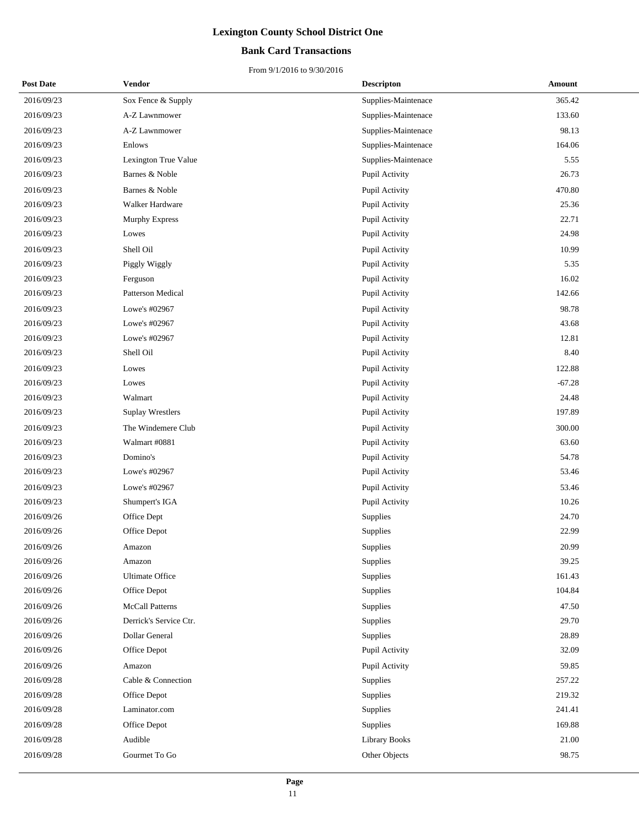### **Bank Card Transactions**

| <b>Post Date</b> | Vendor                   | <b>Descripton</b>    | Amount   |
|------------------|--------------------------|----------------------|----------|
| 2016/09/23       | Sox Fence & Supply       | Supplies-Maintenace  | 365.42   |
| 2016/09/23       | A-Z Lawnmower            | Supplies-Maintenace  | 133.60   |
| 2016/09/23       | A-Z Lawnmower            | Supplies-Maintenace  | 98.13    |
| 2016/09/23       | Enlows                   | Supplies-Maintenace  | 164.06   |
| 2016/09/23       | Lexington True Value     | Supplies-Maintenace  | 5.55     |
| 2016/09/23       | Barnes & Noble           | Pupil Activity       | 26.73    |
| 2016/09/23       | Barnes & Noble           | Pupil Activity       | 470.80   |
| 2016/09/23       | Walker Hardware          | Pupil Activity       | 25.36    |
| 2016/09/23       | Murphy Express           | Pupil Activity       | 22.71    |
| 2016/09/23       | Lowes                    | Pupil Activity       | 24.98    |
| 2016/09/23       | Shell Oil                | Pupil Activity       | 10.99    |
| 2016/09/23       | Piggly Wiggly            | Pupil Activity       | 5.35     |
| 2016/09/23       | Ferguson                 | Pupil Activity       | 16.02    |
| 2016/09/23       | <b>Patterson Medical</b> | Pupil Activity       | 142.66   |
| 2016/09/23       | Lowe's #02967            | Pupil Activity       | 98.78    |
| 2016/09/23       | Lowe's #02967            | Pupil Activity       | 43.68    |
| 2016/09/23       | Lowe's #02967            | Pupil Activity       | 12.81    |
| 2016/09/23       | Shell Oil                | Pupil Activity       | 8.40     |
| 2016/09/23       | Lowes                    | Pupil Activity       | 122.88   |
| 2016/09/23       | Lowes                    | Pupil Activity       | $-67.28$ |
| 2016/09/23       | Walmart                  | Pupil Activity       | 24.48    |
| 2016/09/23       | Suplay Wrestlers         | Pupil Activity       | 197.89   |
| 2016/09/23       | The Windemere Club       | Pupil Activity       | 300.00   |
| 2016/09/23       | Walmart #0881            | Pupil Activity       | 63.60    |
| 2016/09/23       | Domino's                 | Pupil Activity       | 54.78    |
| 2016/09/23       | Lowe's #02967            | Pupil Activity       | 53.46    |
| 2016/09/23       | Lowe's #02967            | Pupil Activity       | 53.46    |
| 2016/09/23       | Shumpert's IGA           | Pupil Activity       | 10.26    |
| 2016/09/26       | Office Dept              | Supplies             | 24.70    |
| 2016/09/26       | Office Depot             | Supplies             | 22.99    |
| 2016/09/26       | Amazon                   | Supplies             | 20.99    |
| 2016/09/26       | Amazon                   | Supplies             | 39.25    |
| 2016/09/26       | <b>Ultimate Office</b>   | <b>Supplies</b>      | 161.43   |
| 2016/09/26       | Office Depot             | Supplies             | 104.84   |
| 2016/09/26       | <b>McCall Patterns</b>   | Supplies             | 47.50    |
| 2016/09/26       | Derrick's Service Ctr.   | Supplies             | 29.70    |
| 2016/09/26       | Dollar General           | <b>Supplies</b>      | 28.89    |
| 2016/09/26       | Office Depot             | Pupil Activity       | 32.09    |
| 2016/09/26       | Amazon                   | Pupil Activity       | 59.85    |
| 2016/09/28       | Cable & Connection       | Supplies             | 257.22   |
| 2016/09/28       | Office Depot             | Supplies             | 219.32   |
| 2016/09/28       | Laminator.com            | Supplies             | 241.41   |
| 2016/09/28       | Office Depot             | Supplies             | 169.88   |
| 2016/09/28       | Audible                  | <b>Library Books</b> | 21.00    |
| 2016/09/28       | Gourmet To Go            | Other Objects        | 98.75    |
|                  |                          |                      |          |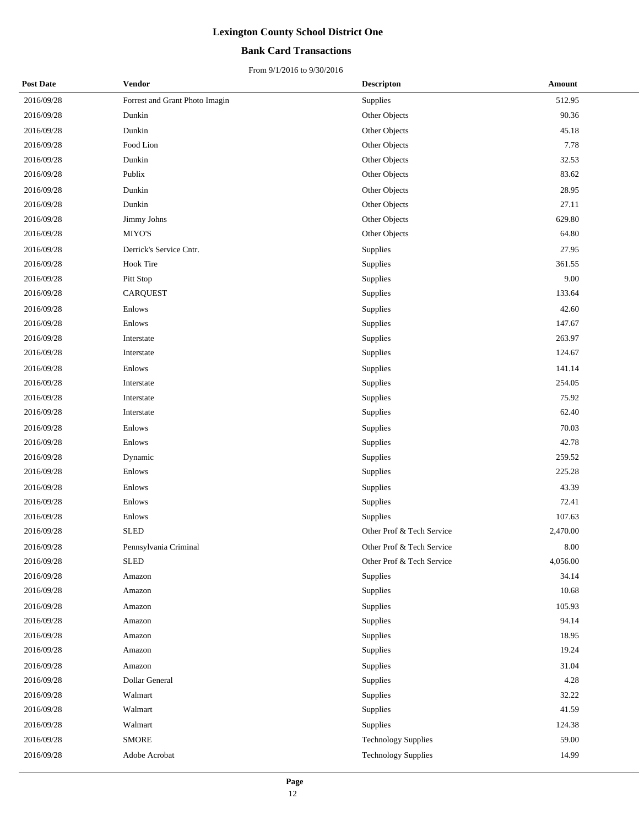### **Bank Card Transactions**

| <b>Post Date</b> | <b>Vendor</b>                  | <b>Descripton</b>          | Amount   |
|------------------|--------------------------------|----------------------------|----------|
| 2016/09/28       | Forrest and Grant Photo Imagin | Supplies                   | 512.95   |
| 2016/09/28       | Dunkin                         | Other Objects              | 90.36    |
| 2016/09/28       | Dunkin                         | Other Objects              | 45.18    |
| 2016/09/28       | Food Lion                      | Other Objects              | 7.78     |
| 2016/09/28       | Dunkin                         | Other Objects              | 32.53    |
| 2016/09/28       | Publix                         | Other Objects              | 83.62    |
| 2016/09/28       | Dunkin                         | Other Objects              | 28.95    |
| 2016/09/28       | Dunkin                         | Other Objects              | 27.11    |
| 2016/09/28       | Jimmy Johns                    | Other Objects              | 629.80   |
| 2016/09/28       | MIYO'S                         | Other Objects              | 64.80    |
| 2016/09/28       | Derrick's Service Cntr.        | Supplies                   | 27.95    |
| 2016/09/28       | <b>Hook Tire</b>               | Supplies                   | 361.55   |
| 2016/09/28       | Pitt Stop                      | Supplies                   | 9.00     |
| 2016/09/28       | <b>CARQUEST</b>                | Supplies                   | 133.64   |
| 2016/09/28       | Enlows                         | Supplies                   | 42.60    |
| 2016/09/28       | Enlows                         | Supplies                   | 147.67   |
| 2016/09/28       | Interstate                     | Supplies                   | 263.97   |
| 2016/09/28       | Interstate                     | Supplies                   | 124.67   |
| 2016/09/28       | Enlows                         | Supplies                   | 141.14   |
| 2016/09/28       | Interstate                     | Supplies                   | 254.05   |
| 2016/09/28       | Interstate                     | Supplies                   | 75.92    |
| 2016/09/28       | Interstate                     | Supplies                   | 62.40    |
| 2016/09/28       | Enlows                         | Supplies                   | 70.03    |
| 2016/09/28       | Enlows                         | Supplies                   | 42.78    |
| 2016/09/28       | Dynamic                        | Supplies                   | 259.52   |
| 2016/09/28       | Enlows                         | Supplies                   | 225.28   |
| 2016/09/28       | Enlows                         | Supplies                   | 43.39    |
| 2016/09/28       | Enlows                         | Supplies                   | 72.41    |
| 2016/09/28       | Enlows                         | Supplies                   | 107.63   |
| 2016/09/28       | <b>SLED</b>                    | Other Prof & Tech Service  | 2,470.00 |
| 2016/09/28       | Pennsylvania Criminal          | Other Prof & Tech Service  | 8.00     |
| 2016/09/28       | <b>SLED</b>                    | Other Prof & Tech Service  | 4,056.00 |
| 2016/09/28       | Amazon                         | Supplies                   | 34.14    |
| 2016/09/28       | Amazon                         | Supplies                   | 10.68    |
| 2016/09/28       | Amazon                         | Supplies                   | 105.93   |
| 2016/09/28       | Amazon                         | Supplies                   | 94.14    |
| 2016/09/28       | Amazon                         | Supplies                   | 18.95    |
| 2016/09/28       | Amazon                         | Supplies                   | 19.24    |
| 2016/09/28       | Amazon                         | Supplies                   | 31.04    |
| 2016/09/28       | Dollar General                 | Supplies                   | 4.28     |
| 2016/09/28       | Walmart                        | Supplies                   | 32.22    |
| 2016/09/28       | Walmart                        | Supplies                   | 41.59    |
| 2016/09/28       | Walmart                        | Supplies                   | 124.38   |
| 2016/09/28       | <b>SMORE</b>                   | <b>Technology Supplies</b> | 59.00    |
| 2016/09/28       | Adobe Acrobat                  | <b>Technology Supplies</b> | 14.99    |
|                  |                                |                            |          |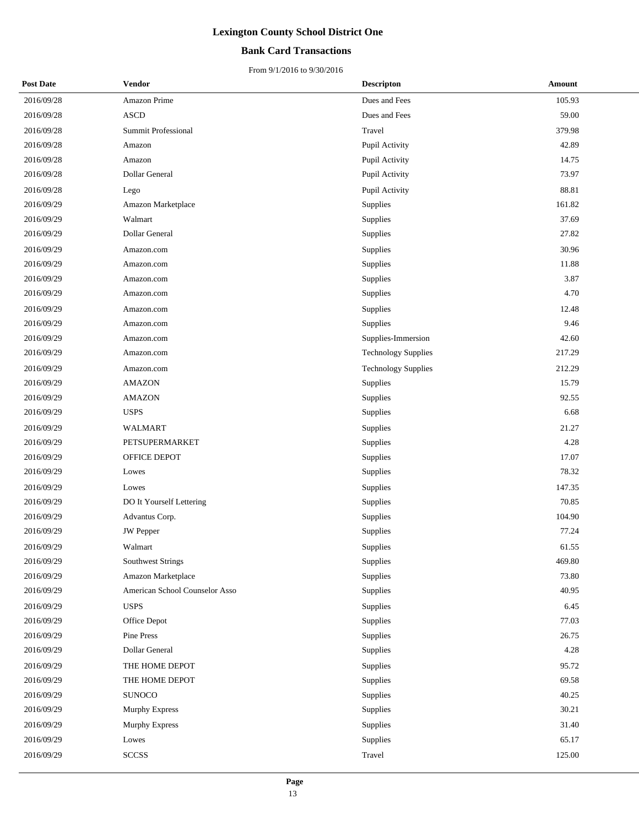### **Bank Card Transactions**

| <b>Post Date</b> | <b>Vendor</b>                  | <b>Descripton</b>          | <b>Amount</b> |  |
|------------------|--------------------------------|----------------------------|---------------|--|
| 2016/09/28       | Amazon Prime                   | Dues and Fees              | 105.93        |  |
| 2016/09/28       | <b>ASCD</b>                    | Dues and Fees              | 59.00         |  |
| 2016/09/28       | Summit Professional            | Travel                     | 379.98        |  |
| 2016/09/28       | Amazon                         | Pupil Activity             | 42.89         |  |
| 2016/09/28       | Amazon                         | Pupil Activity             | 14.75         |  |
| 2016/09/28       | Dollar General                 | Pupil Activity             | 73.97         |  |
| 2016/09/28       | Lego                           | Pupil Activity             | 88.81         |  |
| 2016/09/29       | Amazon Marketplace             | Supplies                   | 161.82        |  |
| 2016/09/29       | Walmart                        | Supplies                   | 37.69         |  |
| 2016/09/29       | Dollar General                 | Supplies                   | 27.82         |  |
| 2016/09/29       | Amazon.com                     | Supplies                   | 30.96         |  |
| 2016/09/29       | Amazon.com                     | Supplies                   | 11.88         |  |
| 2016/09/29       | Amazon.com                     | Supplies                   | 3.87          |  |
| 2016/09/29       | Amazon.com                     | Supplies                   | 4.70          |  |
| 2016/09/29       | Amazon.com                     | Supplies                   | 12.48         |  |
| 2016/09/29       | Amazon.com                     | Supplies                   | 9.46          |  |
| 2016/09/29       | Amazon.com                     | Supplies-Immersion         | 42.60         |  |
| 2016/09/29       | Amazon.com                     | <b>Technology Supplies</b> | 217.29        |  |
| 2016/09/29       | Amazon.com                     | <b>Technology Supplies</b> | 212.29        |  |
| 2016/09/29       | <b>AMAZON</b>                  | Supplies                   | 15.79         |  |
| 2016/09/29       | <b>AMAZON</b>                  | Supplies                   | 92.55         |  |
| 2016/09/29       | <b>USPS</b>                    | Supplies                   | 6.68          |  |
| 2016/09/29       | <b>WALMART</b>                 | Supplies                   | 21.27         |  |
| 2016/09/29       | PETSUPERMARKET                 | Supplies                   | 4.28          |  |
| 2016/09/29       | OFFICE DEPOT                   | Supplies                   | 17.07         |  |
| 2016/09/29       | Lowes                          | Supplies                   | 78.32         |  |
| 2016/09/29       | Lowes                          | Supplies                   | 147.35        |  |
| 2016/09/29       | DO It Yourself Lettering       | Supplies                   | 70.85         |  |
| 2016/09/29       | Advantus Corp.                 | Supplies                   | 104.90        |  |
| 2016/09/29       | <b>JW</b> Pepper               | Supplies                   | 77.24         |  |
| 2016/09/29       | Walmart                        | Supplies                   | 61.55         |  |
| 2016/09/29       | <b>Southwest Strings</b>       | Supplies                   | 469.80        |  |
| 2016/09/29       | Amazon Marketplace             | Supplies                   | 73.80         |  |
| 2016/09/29       | American School Counselor Asso | Supplies                   | 40.95         |  |
| 2016/09/29       | <b>USPS</b>                    | Supplies                   | 6.45          |  |
| 2016/09/29       | Office Depot                   | Supplies                   | 77.03         |  |
| 2016/09/29       | Pine Press                     | Supplies                   | 26.75         |  |
| 2016/09/29       | Dollar General                 | Supplies                   | 4.28          |  |
| 2016/09/29       | THE HOME DEPOT                 | Supplies                   | 95.72         |  |
| 2016/09/29       | THE HOME DEPOT                 | Supplies                   | 69.58         |  |
| 2016/09/29       | <b>SUNOCO</b>                  | Supplies                   | 40.25         |  |
| 2016/09/29       | Murphy Express                 | Supplies                   | 30.21         |  |
| 2016/09/29       | Murphy Express                 | Supplies                   | 31.40         |  |
| 2016/09/29       | Lowes                          | Supplies                   | 65.17         |  |
| 2016/09/29       | <b>SCCSS</b>                   | Travel                     | 125.00        |  |
|                  |                                |                            |               |  |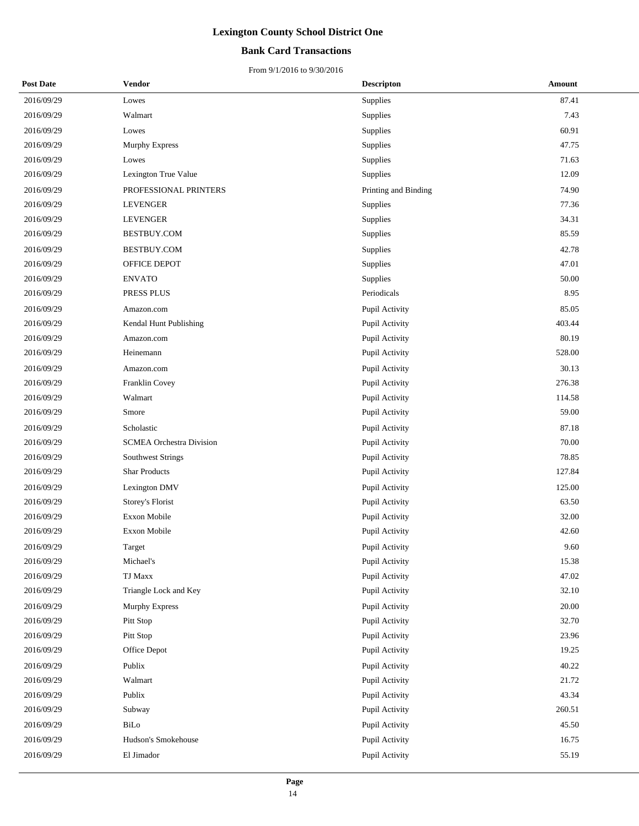## **Bank Card Transactions**

| <b>Post Date</b> | <b>Vendor</b>                   | <b>Descripton</b>    | Amount |
|------------------|---------------------------------|----------------------|--------|
| 2016/09/29       | Lowes                           | Supplies             | 87.41  |
| 2016/09/29       | Walmart                         | Supplies             | 7.43   |
| 2016/09/29       | Lowes                           | Supplies             | 60.91  |
| 2016/09/29       | <b>Murphy Express</b>           | Supplies             | 47.75  |
| 2016/09/29       | Lowes                           | Supplies             | 71.63  |
| 2016/09/29       | Lexington True Value            | Supplies             | 12.09  |
| 2016/09/29       | PROFESSIONAL PRINTERS           | Printing and Binding | 74.90  |
| 2016/09/29       | LEVENGER                        | Supplies             | 77.36  |
| 2016/09/29       | <b>LEVENGER</b>                 | Supplies             | 34.31  |
| 2016/09/29       | BESTBUY.COM                     | Supplies             | 85.59  |
| 2016/09/29       | BESTBUY.COM                     | Supplies             | 42.78  |
| 2016/09/29       | OFFICE DEPOT                    | Supplies             | 47.01  |
| 2016/09/29       | <b>ENVATO</b>                   | Supplies             | 50.00  |
| 2016/09/29       | PRESS PLUS                      | Periodicals          | 8.95   |
| 2016/09/29       | Amazon.com                      | Pupil Activity       | 85.05  |
| 2016/09/29       | Kendal Hunt Publishing          | Pupil Activity       | 403.44 |
| 2016/09/29       | Amazon.com                      | Pupil Activity       | 80.19  |
| 2016/09/29       | Heinemann                       | Pupil Activity       | 528.00 |
| 2016/09/29       | Amazon.com                      | Pupil Activity       | 30.13  |
| 2016/09/29       | Franklin Covey                  | Pupil Activity       | 276.38 |
| 2016/09/29       | Walmart                         | Pupil Activity       | 114.58 |
| 2016/09/29       | Smore                           | Pupil Activity       | 59.00  |
| 2016/09/29       | Scholastic                      | Pupil Activity       | 87.18  |
| 2016/09/29       | <b>SCMEA Orchestra Division</b> | Pupil Activity       | 70.00  |
| 2016/09/29       | Southwest Strings               | Pupil Activity       | 78.85  |
| 2016/09/29       | <b>Shar Products</b>            | Pupil Activity       | 127.84 |
| 2016/09/29       | Lexington DMV                   | Pupil Activity       | 125.00 |
| 2016/09/29       | Storey's Florist                | Pupil Activity       | 63.50  |
| 2016/09/29       | Exxon Mobile                    | Pupil Activity       | 32.00  |
| 2016/09/29       | Exxon Mobile                    | Pupil Activity       | 42.60  |
| 2016/09/29       | Target                          | Pupil Activity       | 9.60   |
| 2016/09/29       | Michael's                       | Pupil Activity       | 15.38  |
| 2016/09/29       | TJ Maxx                         | Pupil Activity       | 47.02  |
| 2016/09/29       | Triangle Lock and Key           | Pupil Activity       | 32.10  |
| 2016/09/29       | Murphy Express                  | Pupil Activity       | 20.00  |
| 2016/09/29       | Pitt Stop                       | Pupil Activity       | 32.70  |
| 2016/09/29       | Pitt Stop                       | Pupil Activity       | 23.96  |
| 2016/09/29       | Office Depot                    | Pupil Activity       | 19.25  |
| 2016/09/29       | Publix                          | Pupil Activity       | 40.22  |
| 2016/09/29       | Walmart                         | Pupil Activity       | 21.72  |
| 2016/09/29       | Publix                          | Pupil Activity       | 43.34  |
| 2016/09/29       | Subway                          | Pupil Activity       | 260.51 |
| 2016/09/29       | BiLo                            | Pupil Activity       | 45.50  |
| 2016/09/29       | Hudson's Smokehouse             | Pupil Activity       | 16.75  |
| 2016/09/29       | El Jimador                      | Pupil Activity       | 55.19  |
|                  |                                 |                      |        |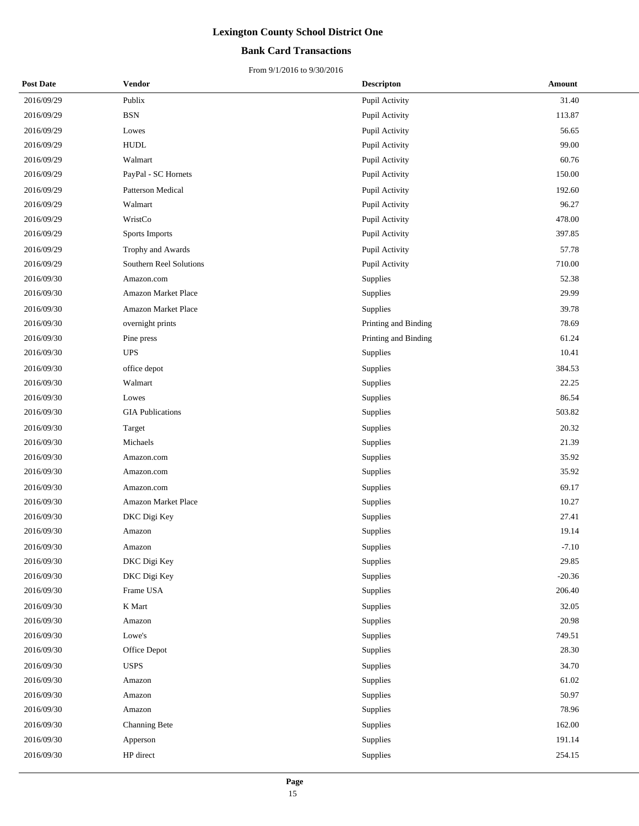## **Bank Card Transactions**

| <b>Post Date</b> | Vendor                      | <b>Descripton</b>    | Amount   |
|------------------|-----------------------------|----------------------|----------|
| 2016/09/29       | Publix                      | Pupil Activity       | 31.40    |
| 2016/09/29       | <b>BSN</b>                  | Pupil Activity       | 113.87   |
| 2016/09/29       | Lowes                       | Pupil Activity       | 56.65    |
| 2016/09/29       | <b>HUDL</b>                 | Pupil Activity       | 99.00    |
| 2016/09/29       | Walmart                     | Pupil Activity       | 60.76    |
| 2016/09/29       | PayPal - SC Hornets         | Pupil Activity       | 150.00   |
| 2016/09/29       | Patterson Medical           | Pupil Activity       | 192.60   |
| 2016/09/29       | Walmart                     | Pupil Activity       | 96.27    |
| 2016/09/29       | WristCo                     | Pupil Activity       | 478.00   |
| 2016/09/29       | Sports Imports              | Pupil Activity       | 397.85   |
| 2016/09/29       | Trophy and Awards           | Pupil Activity       | 57.78    |
| 2016/09/29       | Southern Reel Solutions     | Pupil Activity       | 710.00   |
| 2016/09/30       | Amazon.com                  | Supplies             | 52.38    |
| 2016/09/30       | Amazon Market Place         | Supplies             | 29.99    |
| 2016/09/30       | Amazon Market Place         | Supplies             | 39.78    |
| 2016/09/30       | overnight prints            | Printing and Binding | 78.69    |
| 2016/09/30       | Pine press                  | Printing and Binding | 61.24    |
| 2016/09/30       | $\ensuremath{\mathrm{UPS}}$ | Supplies             | 10.41    |
| 2016/09/30       | office depot                | Supplies             | 384.53   |
| 2016/09/30       | Walmart                     | Supplies             | 22.25    |
| 2016/09/30       | Lowes                       | Supplies             | 86.54    |
| 2016/09/30       | <b>GIA Publications</b>     | Supplies             | 503.82   |
| 2016/09/30       | Target                      | Supplies             | 20.32    |
| 2016/09/30       | Michaels                    | Supplies             | 21.39    |
| 2016/09/30       | Amazon.com                  | Supplies             | 35.92    |
| 2016/09/30       | Amazon.com                  | Supplies             | 35.92    |
| 2016/09/30       | Amazon.com                  | Supplies             | 69.17    |
| 2016/09/30       | Amazon Market Place         | Supplies             | 10.27    |
| 2016/09/30       | DKC Digi Key                | Supplies             | 27.41    |
| 2016/09/30       | Amazon                      | Supplies             | 19.14    |
| 2016/09/30       | Amazon                      | Supplies             | $-7.10$  |
| 2016/09/30       | DKC Digi Key                | <b>Supplies</b>      | 29.85    |
| 2016/09/30       | DKC Digi Key                | Supplies             | $-20.36$ |
| 2016/09/30       | Frame USA                   | Supplies             | 206.40   |
| 2016/09/30       | K Mart                      | Supplies             | 32.05    |
| 2016/09/30       | Amazon                      | Supplies             | 20.98    |
| 2016/09/30       | Lowe's                      | Supplies             | 749.51   |
| 2016/09/30       | Office Depot                | Supplies             | 28.30    |
| 2016/09/30       | <b>USPS</b>                 | Supplies             | 34.70    |
| 2016/09/30       | Amazon                      | Supplies             | 61.02    |
| 2016/09/30       | Amazon                      | Supplies             | 50.97    |
| 2016/09/30       | Amazon                      | Supplies             | 78.96    |
| 2016/09/30       | Channing Bete               | Supplies             | 162.00   |
| 2016/09/30       | Apperson                    | Supplies             | 191.14   |
| 2016/09/30       | HP direct                   | Supplies             | 254.15   |
|                  |                             |                      |          |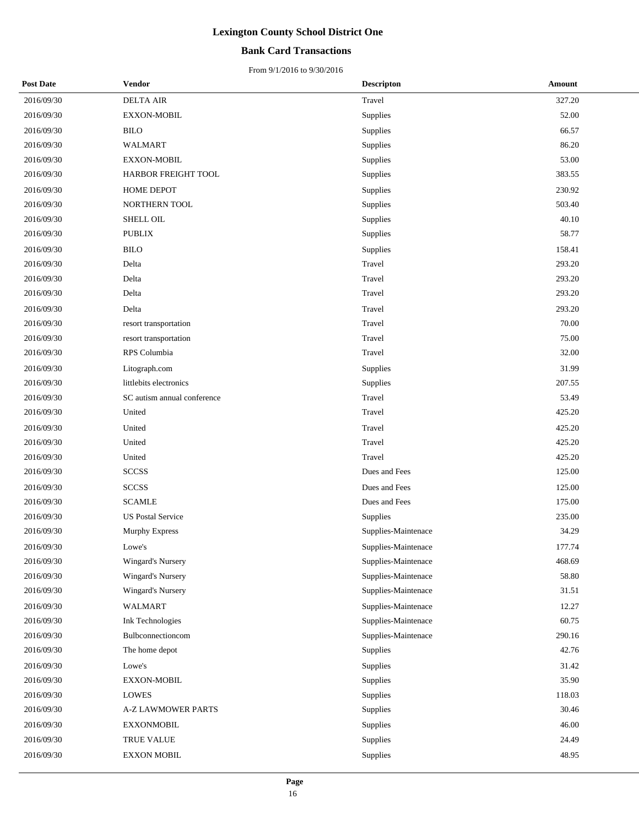## **Bank Card Transactions**

| <b>Post Date</b> | <b>Vendor</b>               | <b>Descripton</b>   | Amount |
|------------------|-----------------------------|---------------------|--------|
| 2016/09/30       | <b>DELTA AIR</b>            | Travel              | 327.20 |
| 2016/09/30       | EXXON-MOBIL                 | Supplies            | 52.00  |
| 2016/09/30       | <b>BILO</b>                 | Supplies            | 66.57  |
| 2016/09/30       | <b>WALMART</b>              | Supplies            | 86.20  |
| 2016/09/30       | EXXON-MOBIL                 | Supplies            | 53.00  |
| 2016/09/30       | HARBOR FREIGHT TOOL         | Supplies            | 383.55 |
| 2016/09/30       | <b>HOME DEPOT</b>           | Supplies            | 230.92 |
| 2016/09/30       | NORTHERN TOOL               | Supplies            | 503.40 |
| 2016/09/30       | SHELL OIL                   | Supplies            | 40.10  |
| 2016/09/30       | <b>PUBLIX</b>               | Supplies            | 58.77  |
| 2016/09/30       | <b>BILO</b>                 | Supplies            | 158.41 |
| 2016/09/30       | Delta                       | Travel              | 293.20 |
| 2016/09/30       | Delta                       | Travel              | 293.20 |
| 2016/09/30       | Delta                       | Travel              | 293.20 |
| 2016/09/30       | Delta                       | Travel              | 293.20 |
| 2016/09/30       | resort transportation       | Travel              | 70.00  |
| 2016/09/30       | resort transportation       | Travel              | 75.00  |
| 2016/09/30       | RPS Columbia                | Travel              | 32.00  |
| 2016/09/30       | Litograph.com               | Supplies            | 31.99  |
| 2016/09/30       | littlebits electronics      | Supplies            | 207.55 |
| 2016/09/30       | SC autism annual conference | Travel              | 53.49  |
| 2016/09/30       | United                      | Travel              | 425.20 |
| 2016/09/30       | United                      | Travel              | 425.20 |
| 2016/09/30       | United                      | Travel              | 425.20 |
| 2016/09/30       | United                      | Travel              | 425.20 |
| 2016/09/30       | <b>SCCSS</b>                | Dues and Fees       | 125.00 |
| 2016/09/30       | <b>SCCSS</b>                | Dues and Fees       | 125.00 |
| 2016/09/30       | <b>SCAMLE</b>               | Dues and Fees       | 175.00 |
| 2016/09/30       | <b>US Postal Service</b>    | Supplies            | 235.00 |
| 2016/09/30       | <b>Murphy Express</b>       | Supplies-Maintenace | 34.29  |
| 2016/09/30       | Lowe's                      | Supplies-Maintenace | 177.74 |
| 2016/09/30       | Wingard's Nursery           | Supplies-Maintenace | 468.69 |
| 2016/09/30       | Wingard's Nursery           | Supplies-Maintenace | 58.80  |
| 2016/09/30       | Wingard's Nursery           | Supplies-Maintenace | 31.51  |
| 2016/09/30       | WALMART                     | Supplies-Maintenace | 12.27  |
| 2016/09/30       | <b>Ink Technologies</b>     | Supplies-Maintenace | 60.75  |
| 2016/09/30       | Bulbconnectioncom           | Supplies-Maintenace | 290.16 |
| 2016/09/30       | The home depot              | Supplies            | 42.76  |
| 2016/09/30       | Lowe's                      | Supplies            | 31.42  |
| 2016/09/30       | <b>EXXON-MOBIL</b>          | Supplies            | 35.90  |
| 2016/09/30       | <b>LOWES</b>                | Supplies            | 118.03 |
| 2016/09/30       | <b>A-Z LAWMOWER PARTS</b>   | Supplies            | 30.46  |
| 2016/09/30       | <b>EXXONMOBIL</b>           | Supplies            | 46.00  |
| 2016/09/30       | TRUE VALUE                  | Supplies            | 24.49  |
| 2016/09/30       | <b>EXXON MOBIL</b>          | Supplies            | 48.95  |
|                  |                             |                     |        |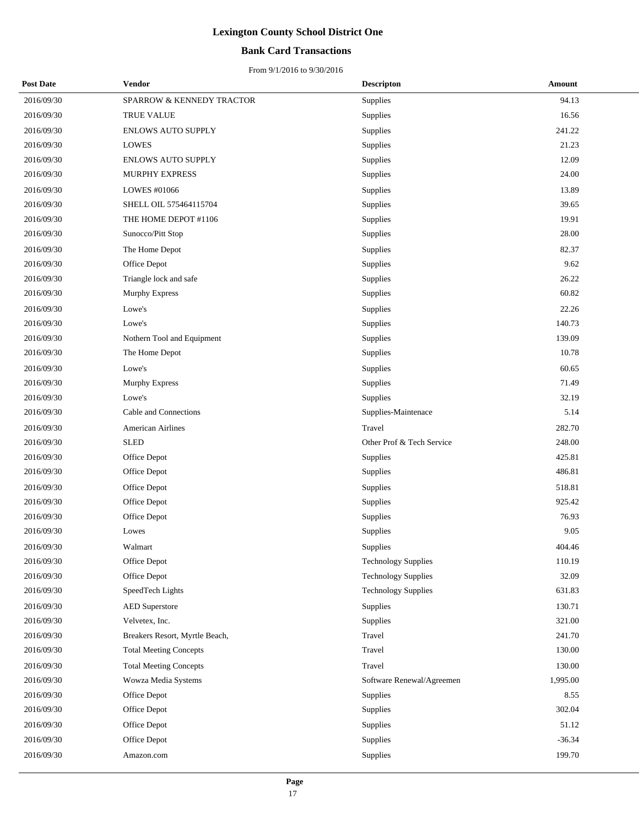## **Bank Card Transactions**

| <b>Post Date</b> | Vendor                         | <b>Descripton</b>          | Amount   |
|------------------|--------------------------------|----------------------------|----------|
| 2016/09/30       | SPARROW & KENNEDY TRACTOR      | Supplies                   | 94.13    |
| 2016/09/30       | TRUE VALUE                     | Supplies                   | 16.56    |
| 2016/09/30       | ENLOWS AUTO SUPPLY             | <b>Supplies</b>            | 241.22   |
| 2016/09/30       | <b>LOWES</b>                   | Supplies                   | 21.23    |
| 2016/09/30       | <b>ENLOWS AUTO SUPPLY</b>      | Supplies                   | 12.09    |
| 2016/09/30       | <b>MURPHY EXPRESS</b>          | Supplies                   | 24.00    |
| 2016/09/30       | LOWES #01066                   | Supplies                   | 13.89    |
| 2016/09/30       | SHELL OIL 575464115704         | Supplies                   | 39.65    |
| 2016/09/30       | THE HOME DEPOT #1106           | Supplies                   | 19.91    |
| 2016/09/30       | Sunocco/Pitt Stop              | Supplies                   | 28.00    |
| 2016/09/30       | The Home Depot                 | Supplies                   | 82.37    |
| 2016/09/30       | Office Depot                   | Supplies                   | 9.62     |
| 2016/09/30       | Triangle lock and safe         | Supplies                   | 26.22    |
| 2016/09/30       | <b>Murphy Express</b>          | Supplies                   | 60.82    |
| 2016/09/30       | Lowe's                         | Supplies                   | 22.26    |
| 2016/09/30       | Lowe's                         | Supplies                   | 140.73   |
| 2016/09/30       | Nothern Tool and Equipment     | Supplies                   | 139.09   |
| 2016/09/30       | The Home Depot                 | Supplies                   | 10.78    |
| 2016/09/30       | Lowe's                         | Supplies                   | 60.65    |
| 2016/09/30       | Murphy Express                 | Supplies                   | 71.49    |
| 2016/09/30       | Lowe's                         | Supplies                   | 32.19    |
| 2016/09/30       | Cable and Connections          | Supplies-Maintenace        | 5.14     |
| 2016/09/30       | American Airlines              | Travel                     | 282.70   |
| 2016/09/30       | <b>SLED</b>                    | Other Prof & Tech Service  | 248.00   |
| 2016/09/30       | Office Depot                   | Supplies                   | 425.81   |
| 2016/09/30       | Office Depot                   | Supplies                   | 486.81   |
| 2016/09/30       | Office Depot                   | Supplies                   | 518.81   |
| 2016/09/30       | Office Depot                   | Supplies                   | 925.42   |
| 2016/09/30       | Office Depot                   | Supplies                   | 76.93    |
| 2016/09/30       | Lowes                          | Supplies                   | 9.05     |
| 2016/09/30       | Walmart                        | Supplies                   | 404.46   |
| 2016/09/30       | Office Depot                   | <b>Technology Supplies</b> | 110.19   |
| 2016/09/30       | Office Depot                   | <b>Technology Supplies</b> | 32.09    |
| 2016/09/30       | SpeedTech Lights               | <b>Technology Supplies</b> | 631.83   |
| 2016/09/30       | <b>AED</b> Superstore          | Supplies                   | 130.71   |
| 2016/09/30       | Velvetex, Inc.                 | Supplies                   | 321.00   |
| 2016/09/30       | Breakers Resort, Myrtle Beach, | Travel                     | 241.70   |
| 2016/09/30       | <b>Total Meeting Concepts</b>  | Travel                     | 130.00   |
| 2016/09/30       | <b>Total Meeting Concepts</b>  | Travel                     | 130.00   |
| 2016/09/30       | Wowza Media Systems            | Software Renewal/Agreemen  | 1,995.00 |
| 2016/09/30       | Office Depot                   | Supplies                   | 8.55     |
| 2016/09/30       | Office Depot                   | Supplies                   | 302.04   |
| 2016/09/30       | Office Depot                   | Supplies                   | 51.12    |
| 2016/09/30       | Office Depot                   | Supplies                   | $-36.34$ |
| 2016/09/30       | Amazon.com                     | Supplies                   | 199.70   |
|                  |                                |                            |          |